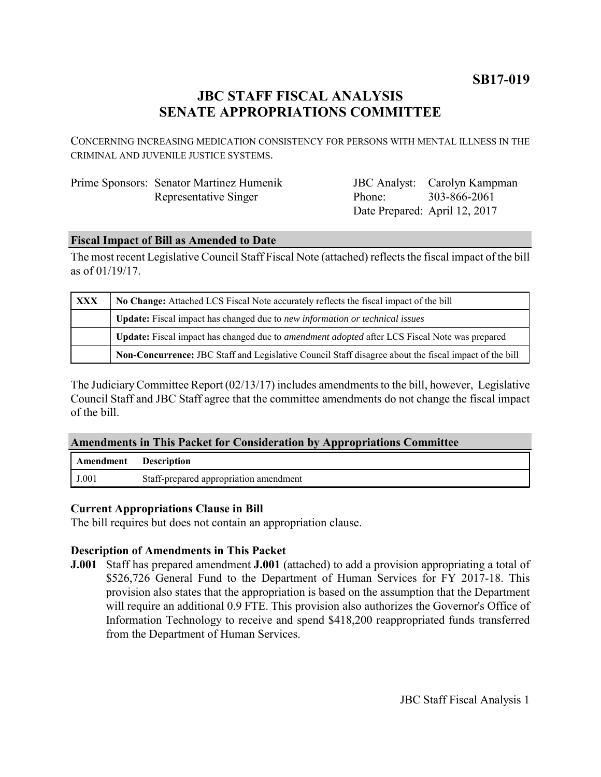**SB17-019**

# **JBC STAFF FISCAL ANALYSIS SENATE APPROPRIATIONS COMMITTEE**

CONCERNING INCREASING MEDICATION CONSISTENCY FOR PERSONS WITH MENTAL ILLNESS IN THE CRIMINAL AND JUVENILE JUSTICE SYSTEMS.

| Prime Sponsors: Senator Martinez Humenik |
|------------------------------------------|
| Representative Singer                    |

JBC Analyst: Carolyn Kampman Phone: Date Prepared: April 12, 2017 303-866-2061

# **Fiscal Impact of Bill as Amended to Date**

The most recent Legislative Council Staff Fiscal Note (attached) reflects the fiscal impact of the bill as of 01/19/17.

| <b>XXX</b> | No Change: Attached LCS Fiscal Note accurately reflects the fiscal impact of the bill                 |  |
|------------|-------------------------------------------------------------------------------------------------------|--|
|            | Update: Fiscal impact has changed due to new information or technical issues                          |  |
|            | Update: Fiscal impact has changed due to <i>amendment adopted</i> after LCS Fiscal Note was prepared  |  |
|            | Non-Concurrence: JBC Staff and Legislative Council Staff disagree about the fiscal impact of the bill |  |

The Judiciary Committee Report (02/13/17) includes amendments to the bill, however, Legislative Council Staff and JBC Staff agree that the committee amendments do not change the fiscal impact of the bill.

## **Amendments in This Packet for Consideration by Appropriations Committee**

| Amendment | <b>Description</b>                     |
|-----------|----------------------------------------|
| J.001     | Staff-prepared appropriation amendment |

## **Current Appropriations Clause in Bill**

The bill requires but does not contain an appropriation clause.

## **Description of Amendments in This Packet**

**J.001** Staff has prepared amendment **J.001** (attached) to add a provision appropriating a total of \$526,726 General Fund to the Department of Human Services for FY 2017-18. This provision also states that the appropriation is based on the assumption that the Department will require an additional 0.9 FTE. This provision also authorizes the Governor's Office of Information Technology to receive and spend \$418,200 reappropriated funds transferred from the Department of Human Services.